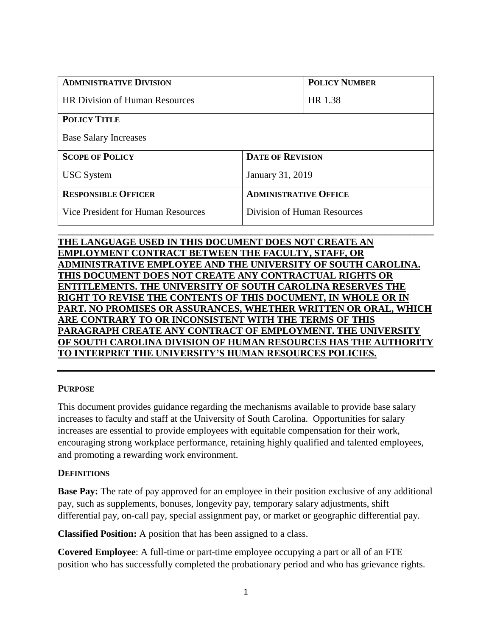| <b>ADMINISTRATIVE DIVISION</b>            |                              | <b>POLICY NUMBER</b> |
|-------------------------------------------|------------------------------|----------------------|
| <b>HR Division of Human Resources</b>     |                              | HR 1.38              |
| <b>POLICY TITLE</b>                       |                              |                      |
| <b>Base Salary Increases</b>              |                              |                      |
| <b>SCOPE OF POLICY</b>                    | <b>DATE OF REVISION</b>      |                      |
| <b>USC</b> System                         | January 31, 2019             |                      |
| <b>RESPONSIBLE OFFICER</b>                | <b>ADMINISTRATIVE OFFICE</b> |                      |
| <b>Vice President for Human Resources</b> | Division of Human Resources  |                      |

# **THE LANGUAGE USED IN THIS DOCUMENT DOES NOT CREATE AN EMPLOYMENT CONTRACT BETWEEN THE FACULTY, STAFF, OR ADMINISTRATIVE EMPLOYEE AND THE UNIVERSITY OF SOUTH CAROLINA. THIS DOCUMENT DOES NOT CREATE ANY CONTRACTUAL RIGHTS OR ENTITLEMENTS. THE UNIVERSITY OF SOUTH CAROLINA RESERVES THE RIGHT TO REVISE THE CONTENTS OF THIS DOCUMENT, IN WHOLE OR IN PART. NO PROMISES OR ASSURANCES, WHETHER WRITTEN OR ORAL, WHICH ARE CONTRARY TO OR INCONSISTENT WITH THE TERMS OF THIS PARAGRAPH CREATE ANY CONTRACT OF EMPLOYMENT. THE UNIVERSITY OF SOUTH CAROLINA DIVISION OF HUMAN RESOURCES HAS THE AUTHORITY TO INTERPRET THE UNIVERSITY'S HUMAN RESOURCES POLICIES.**

**\_\_\_\_\_\_\_\_\_\_\_\_\_\_\_\_\_\_\_\_\_\_\_\_\_\_\_\_\_\_\_\_\_\_\_\_\_\_\_\_\_\_\_\_\_\_\_\_\_\_\_\_\_\_\_\_\_\_\_\_\_\_\_\_\_\_\_\_\_\_\_\_\_\_\_\_\_\_**

# **PURPOSE**

This document provides guidance regarding the mechanisms available to provide base salary increases to faculty and staff at the University of South Carolina. Opportunities for salary increases are essential to provide employees with equitable compensation for their work, encouraging strong workplace performance, retaining highly qualified and talented employees, and promoting a rewarding work environment.

# **DEFINITIONS**

**Base Pay:** The rate of pay approved for an employee in their position exclusive of any additional pay, such as supplements, bonuses, longevity pay, temporary salary adjustments, shift differential pay, on-call pay, special assignment pay, or market or geographic differential pay.

**Classified Position:** A position that has been assigned to a class.

**Covered Employee**: A full-time or part-time employee occupying a part or all of an FTE position who has successfully completed the probationary period and who has grievance rights.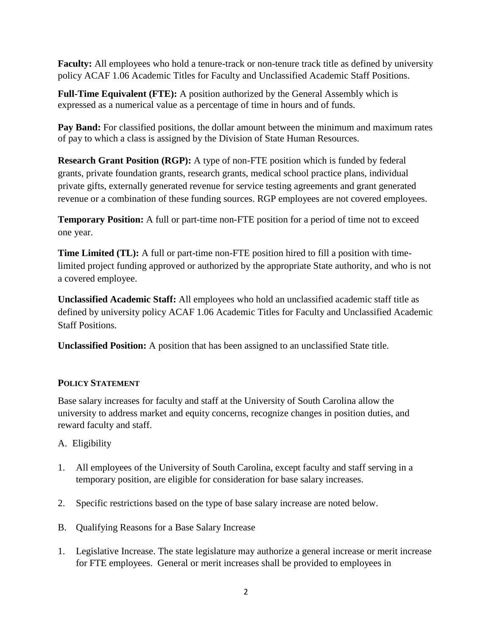**Faculty:** All employees who hold a tenure-track or non-tenure track title as defined by university policy ACAF 1.06 Academic Titles for Faculty and Unclassified Academic Staff Positions.

**Full-Time Equivalent (FTE):** A position authorized by the General Assembly which is expressed as a numerical value as a percentage of time in hours and of funds.

**Pay Band:** For classified positions, the dollar amount between the minimum and maximum rates of pay to which a class is assigned by the Division of State Human Resources.

**Research Grant Position (RGP):** A type of non-FTE position which is funded by federal grants, private foundation grants, research grants, medical school practice plans, individual private gifts, externally generated revenue for service testing agreements and grant generated revenue or a combination of these funding sources. RGP employees are not covered employees.

**Temporary Position:** A full or part-time non-FTE position for a period of time not to exceed one year.

**Time Limited (TL):** A full or part-time non-FTE position hired to fill a position with timelimited project funding approved or authorized by the appropriate State authority, and who is not a covered employee.

**Unclassified Academic Staff:** All employees who hold an unclassified academic staff title as defined by university policy ACAF 1.06 Academic Titles for Faculty and Unclassified Academic Staff Positions.

**Unclassified Position:** A position that has been assigned to an unclassified State title.

# **POLICY STATEMENT**

Base salary increases for faculty and staff at the University of South Carolina allow the university to address market and equity concerns, recognize changes in position duties, and reward faculty and staff.

- A. Eligibility
- 1. All employees of the University of South Carolina, except faculty and staff serving in a temporary position, are eligible for consideration for base salary increases.
- 2. Specific restrictions based on the type of base salary increase are noted below.
- B. Qualifying Reasons for a Base Salary Increase
- 1. Legislative Increase. The state legislature may authorize a general increase or merit increase for FTE employees. General or merit increases shall be provided to employees in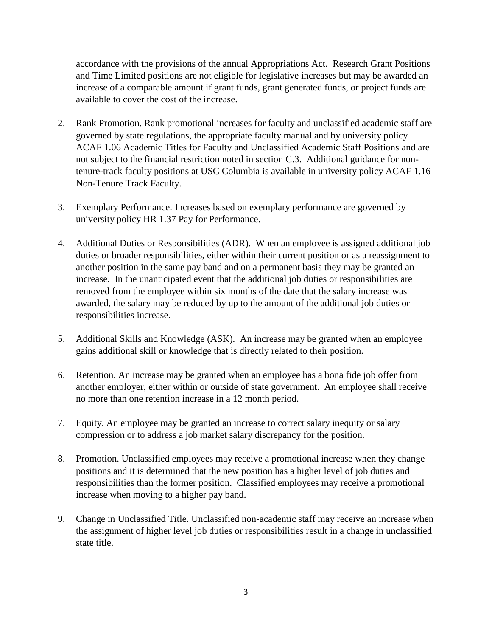accordance with the provisions of the annual Appropriations Act. Research Grant Positions and Time Limited positions are not eligible for legislative increases but may be awarded an increase of a comparable amount if grant funds, grant generated funds, or project funds are available to cover the cost of the increase.

- 2. Rank Promotion. Rank promotional increases for faculty and unclassified academic staff are governed by state regulations, the appropriate faculty manual and by university policy ACAF 1.06 Academic Titles for Faculty and Unclassified Academic Staff Positions and are not subject to the financial restriction noted in section C.3. Additional guidance for nontenure-track faculty positions at USC Columbia is available in university policy ACAF 1.16 Non-Tenure Track Faculty.
- 3. Exemplary Performance. Increases based on exemplary performance are governed by university policy HR 1.37 Pay for Performance.
- 4. Additional Duties or Responsibilities (ADR). When an employee is assigned additional job duties or broader responsibilities, either within their current position or as a reassignment to another position in the same pay band and on a permanent basis they may be granted an increase. In the unanticipated event that the additional job duties or responsibilities are removed from the employee within six months of the date that the salary increase was awarded, the salary may be reduced by up to the amount of the additional job duties or responsibilities increase.
- 5. Additional Skills and Knowledge (ASK). An increase may be granted when an employee gains additional skill or knowledge that is directly related to their position.
- 6. Retention. An increase may be granted when an employee has a bona fide job offer from another employer, either within or outside of state government. An employee shall receive no more than one retention increase in a 12 month period.
- 7. Equity. An employee may be granted an increase to correct salary inequity or salary compression or to address a job market salary discrepancy for the position.
- 8. Promotion. Unclassified employees may receive a promotional increase when they change positions and it is determined that the new position has a higher level of job duties and responsibilities than the former position. Classified employees may receive a promotional increase when moving to a higher pay band.
- 9. Change in Unclassified Title. Unclassified non-academic staff may receive an increase when the assignment of higher level job duties or responsibilities result in a change in unclassified state title.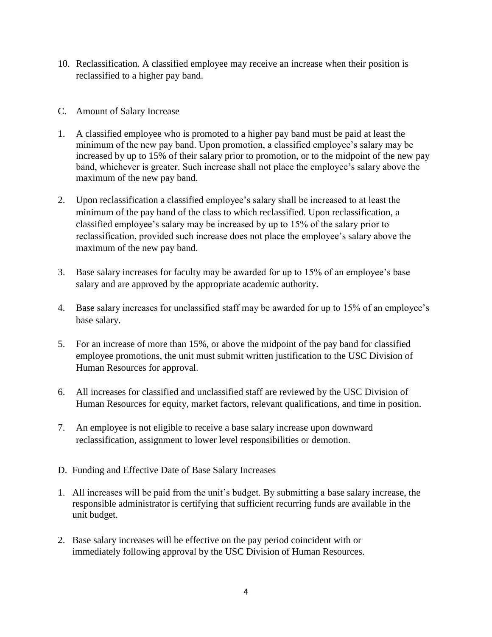- 10. Reclassification. A classified employee may receive an increase when their position is reclassified to a higher pay band.
- C. Amount of Salary Increase
- 1. A classified employee who is promoted to a higher pay band must be paid at least the minimum of the new pay band. Upon promotion, a classified employee's salary may be increased by up to 15% of their salary prior to promotion, or to the midpoint of the new pay band, whichever is greater. Such increase shall not place the employee's salary above the maximum of the new pay band.
- 2. Upon reclassification a classified employee's salary shall be increased to at least the minimum of the pay band of the class to which reclassified. Upon reclassification, a classified employee's salary may be increased by up to 15% of the salary prior to reclassification, provided such increase does not place the employee's salary above the maximum of the new pay band.
- 3. Base salary increases for faculty may be awarded for up to 15% of an employee's base salary and are approved by the appropriate academic authority.
- 4. Base salary increases for unclassified staff may be awarded for up to 15% of an employee's base salary.
- 5. For an increase of more than 15%, or above the midpoint of the pay band for classified employee promotions, the unit must submit written justification to the USC Division of Human Resources for approval.
- 6. All increases for classified and unclassified staff are reviewed by the USC Division of Human Resources for equity, market factors, relevant qualifications, and time in position.
- 7. An employee is not eligible to receive a base salary increase upon downward reclassification, assignment to lower level responsibilities or demotion.
- D. Funding and Effective Date of Base Salary Increases
- 1. All increases will be paid from the unit's budget. By submitting a base salary increase, the responsible administrator is certifying that sufficient recurring funds are available in the unit budget.
- 2. Base salary increases will be effective on the pay period coincident with or immediately following approval by the USC Division of Human Resources.